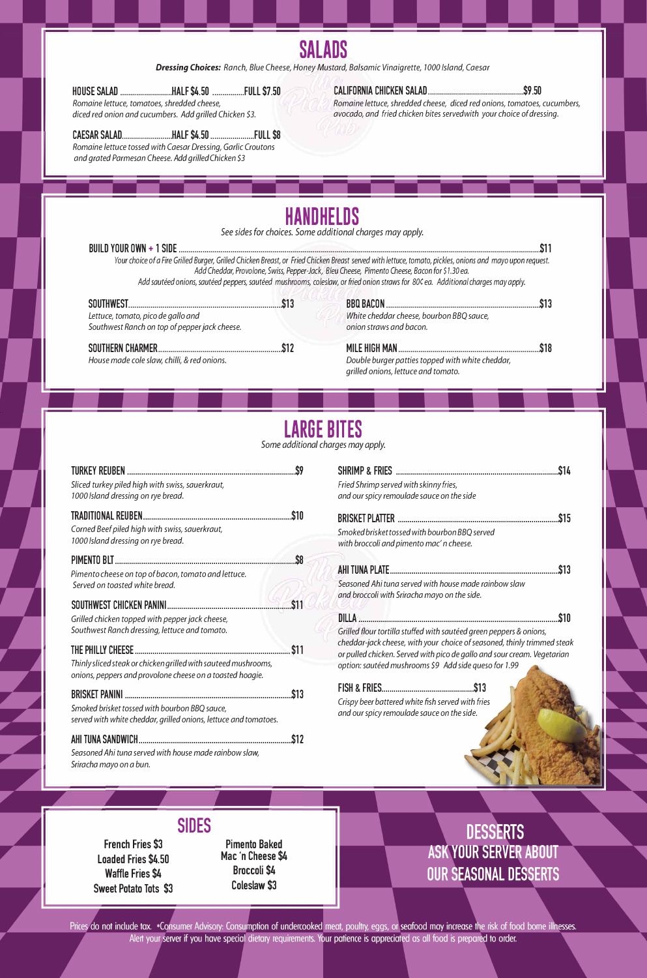## **SALADS**

*Dressing Choices: Ranch, Blue Cheese, Honey Mustard, Balsamic Vinaigrette, 1000 Island, Caesar* 

**HOUSE SALAD .......................... HALF \$4.50 ............... .FULL \$7.50** 

*Romaine lettuce, tomatoes, shredded cheese,* 

*diced red onion and cucumbers. Add grilled Chicken \$3.* 

**CAESAR SALAD ......................... HALF \$4.50 ..................... .FULL \$8** 

*Romaine lettuce tossed with Caesar Dressing, Garlic Croutons* 

*and grated Parmesan Cheese. Add grilled Chicken \$3* 

#### **CALIFORNIA CHICKEN SALAD ................................................ \$9 .50**

*Romaine lettuce, shredded cheese, diced red onions, tomatoes, cucumbers, avocado, and fried chicken bites servedwith your choice of dressing.* 

## **HANDHELDS**

*See sides for choices. Some additional charges may apply.* 

|                                                                                     |      | Your choice of a Fire Grilled Burger, Grilled Chicken Breast, or Fried Chicken Breast served with lettuce, tomato, pickles, onions and mayo upon request.<br>Add Cheddar, Provolone, Swiss, Pepper-Jack, Bleu Cheese, Pimento Cheese, Bacon for \$1.30 ea.<br>Add sautéed onions, sautéed peppers, sautéed mushrooms, coleslaw, or fried onion straws for 80¢ ea. Additional charges may apply. |  |
|-------------------------------------------------------------------------------------|------|-------------------------------------------------------------------------------------------------------------------------------------------------------------------------------------------------------------------------------------------------------------------------------------------------------------------------------------------------------------------------------------------------|--|
| Lettuce, tomato, pico de gallo and<br>Southwest Ranch on top of pepper jack cheese. | \$13 | White cheddar cheese, bourbon BBQ sauce,<br>onion straws and bacon.                                                                                                                                                                                                                                                                                                                             |  |
|                                                                                     |      | <b>MILE HIGH MAN</b>                                                                                                                                                                                                                                                                                                                                                                            |  |

*House made cole slaw, chilli,* & *red onions.* 

*Double burger patties topped with white cheddar, grilled onions, lettuce and tomato.* 

## **LARGE BITES**

*Some additional charges may apply.* 

#### **BRISKET PANINI ..................................................................................... \$13**

*Smoked brisket tossed with bourbon BBQ sauce, served with white cheddar, grilled onions, lettuce and tomatoes.* 

#### **AHi TUNA SANDWICH .............................................................................. \$12**

| Sliced turkey piled high with swiss, sauerkraut,<br>1000 Island dressing on rye bread.                                                                      |             | Fried Shrimp served with skinny fries,<br>and our spicy remoulade sauce on the side                                                                                                                                       |
|-------------------------------------------------------------------------------------------------------------------------------------------------------------|-------------|---------------------------------------------------------------------------------------------------------------------------------------------------------------------------------------------------------------------------|
| Corned Beef piled high with swiss, sauerkraut,<br>1000 Island dressing on rye bread.                                                                        |             | Smoked brisket tossed with bourbon BBQ served<br>with broccoli and pimento mac' n cheese.                                                                                                                                 |
| Pimento cheese on top of bacon, tomato and lettuce.<br>Served on toasted white bread.                                                                       | \$11        | Seasoned Ahi tuna served with house made rainbow slaw<br>and broccoli with Sriracha mayo on the side.                                                                                                                     |
| Grilled chicken topped with pepper jack cheese,<br>Southwest Ranch dressing, lettuce and tomato.                                                            |             | Grilled flour tortilla stuffed with sautéed green peppers & onions,<br>cheddar-jack cheese, with your choice of seasoned, thinly trimmed steak<br>or pulled chicken. Served with pico de gallo and sour cream. Vegetarian |
| Thinly sliced steak or chicken grilled with sauteed mushrooms,<br>onions, peppers and provolone cheese on a toasted hoagie.<br><b><i>RDICKET DANINI</i></b> | <u> ሰ1ባ</u> | option: sautéed mushrooms \$9 Add side queso for 1.99                                                                                                                                                                     |

*Seasoned Ahi tuna served with house made rainbow slaw, Sriracha mayo on* a *bun.* 

> **French Fries \$3 Loaded Fries \$4.50 Waffle Fries \$4 Sweet Potato Tots \$3**

### **SIDES**

### **Pimento Baked Mac 'n Cheese \$4 Broccoli \$4 Coleslaw \$3**

### **DESSERTS ASK YOUR SERVER ABOUT OUR SEASONAL DESSERTS**

Prices do not include tax. \*Consumer Advisory: Consumption of undercooked meat, poultry, eggs, or seafood may increase the risk of food borne illnesses. Alert your server if you have special dietary requirements. Your patience is appreciated as all food is prepared to order.

*Crispy beer battered white fish served with fries and our spicy remoulade sauce on the side.*